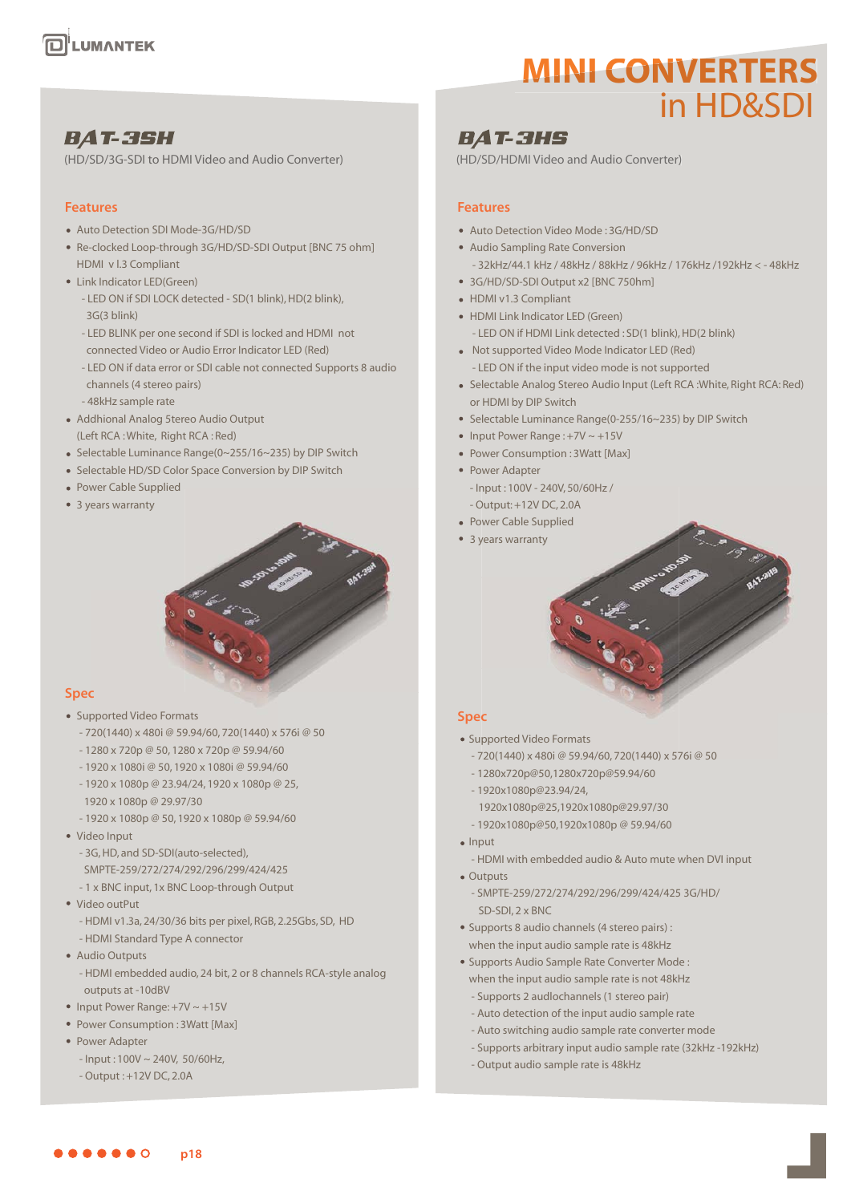# **MINI CONVERTERS** in HD&SDI

## **BAT-3SH**

(HD/SD/3G-SDI to HDMI Video and Audio Converter)

### **Features**

- Auto Detection SDI Mode-3G/HD/SD
- Re-clocked Loop-through 3G/HD/SD-SDI Output [BNC 75 ohm] HDMI v l.3 Compliant
- Link Indicator LED(Green)
	- LED ON if SDI LOCK detected SD(1 blink), HD(2 blink), 3G(3 blink)
	- LED BLlNK per one second if SDI is locked and HDMI not connected Video or Audio Error Indicator LED (Red)
	- LED ON if data error or SDI cable not connected Supports 8 audio channels (4 stereo pairs)
	- 48kHz sample rate
- Addhional Analog 5tereo Audio Output (Left RCA : White, Right RCA : Red)
- Selectable Luminance Range(0~255/16~235) by DIP Switch
- Selectable HD/SD Color Space Conversion by DIP Switch
- Power Cable Supplied
- 3 years warranty



### **Spec**

- Supported Video Formats
	- 720(1440) x 480i @ 59.94/60, 720(1440) x 576i @ 50
	- 1280 x 720p @ 50, 1280 x 720p @ 59.94/60
	- 1920 x 1080i @ 50, 1920 x 1080i @ 59.94/60
	- 1920 x 1080p @ 23.94/24, 1920 x 1080p @ 25, 1920 x 1080p @ 29.97/30
	- 1920 x 1080p @ 50, 1920 x 1080p @ 59.94/60
- Video Input
	- 3G, HD, and SD-SDI(auto-selected), SMPTE-259/272/274/292/296/299/424/425
	- 1 x BNC input, 1x BNC Loop-through Output
- Video outPut
	- HDMI v1.3a, 24/30/36 bits per pixel, RGB, 2.25Gbs, SD, HD
	- HDMI Standard Type A connector
- **Audio Outputs** 
	- HDMI embedded audio, 24 bit, 2 or 8 channels RCA-style analog outputs at -10dBV
- Input Power Range:  $+7V \sim +15V$
- Power Consumption : 3Watt [Max]
- Power Adapter
	- $-$  Input : 100V  $\sim$  240V, 50/60Hz,
	- Output : +12V DC, 2.0A

## **BAT-3HS**

(HD/SD/HDMI Video and Audio Converter)

### **Features**

- Auto Detection Video Mode : 3G/HD/SD
- Audio Sampling Rate Conversion - 32kHz/44.1 kHz / 48kHz / 88kHz / 96kHz / 176kHz /192kHz < - 48kHz
- 3G/HD/SD-SDI Output x2 [BNC 750hm]
- HDMI v1.3 Compliant
- HDMI Link Indicator LED (Green)
	- LED ON if HDMI Link detected : SD(1 blink), HD(2 blink)
- Not supported Video Mode Indicator LED (Red) - LED ON if the input video mode is not supported
- Selectable Analog Stereo Audio Input (Left RCA :White, Right RCA: Red) or HDMI by DIP Switch
- Selectable Luminance Range(0-255/16~235) by DIP Switch
- Input Power Range  $: +7V \sim +15V$
- Power Consumption : 3Watt [Max]
- Power Adapter - Input : 100V - 240V, 50/60Hz /
- Output: +12V DC, 2.0A
- Power Cable Supplied
- 3 years warranty

### **Spec**

- Supported Video Formats
	- 720(1440) x 480i @ 59.94/60, 720(1440) x 576i @ 50
	- 1280x720p@50,1280x720p@59.94/60
	- 1920x1080p@23.94/24,
		- 1920x1080p@25,1920x1080p@29.97/30
	- 1920x1080p@50,1920x1080p @ 59.94/60
- Input
	- HDMI with embedded audio & Auto mute when DVI input
- Outputs - SMPTE-259/272/274/292/296/299/424/425 3G/HD/ SD-SDI, 2 x BNC
- Supports 8 audio channels (4 stereo pairs) : when the input audio sample rate is 48kHz
- Supports Audio Sample Rate Converter Mode : when the input audio sample rate is not 48kHz - Supports 2 audlochannels (1 stereo pair)
	- Auto detection of the input audio sample rate
	- Auto switching audio sample rate converter mode
	- Supports arbitrary input audio sample rate (32kHz -192kHz)
	- Output audio sample rate is 48kHz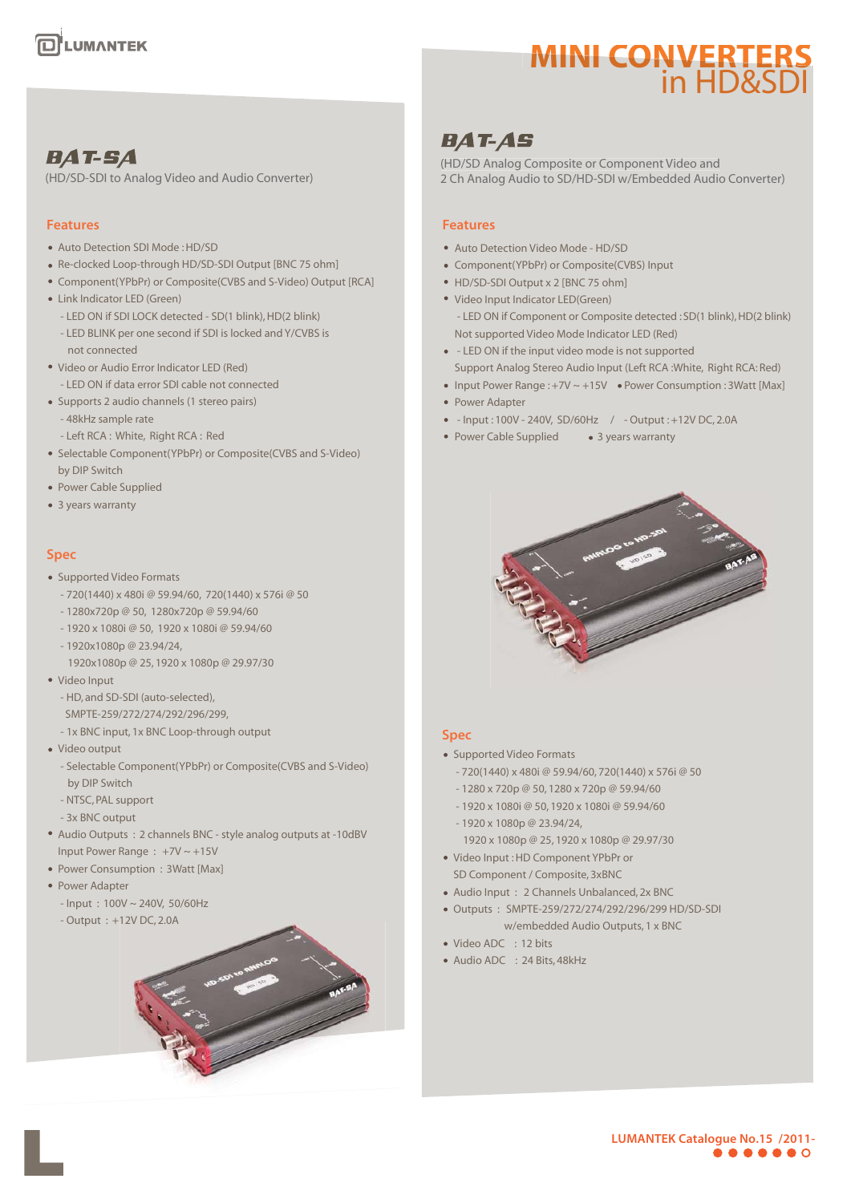# **MINI CONVERTERS** in HD&SDI

# **BAT-AS**

(HD/SD Analog Composite or Component Video and 2 Ch Analog Audio to SD/HD-SDI w/Embedded Audio Converter)

### **Features**

- Auto Detection Video Mode HD/SD
- Component(YPbPr) or Composite(CVBS) Input
- HD/SD-SDI Output x 2 [BNC 75 ohm]
- Video Input Indicator LED(Green) - LED ON if Component or Composite detected : SD(1 blink), HD(2 blink) Not supported Video Mode Indicator LED (Red)
- LED ON if the input video mode is not supported Support Analog Stereo Audio Input (Left RCA :White, Right RCA: Red)
- Input Power Range :  $+7V \sim +15V$  Power Consumption : 3Watt [Max]
- Power Adapter
- Input : 100V 240V, SD/60Hz / Output : +12V DC, 2.0A
- Power Cable Supplied 3 years warranty



### **Spec**

- Supported Video Formats
	- 720(1440) x 480i @ 59.94/60, 720(1440) x 576i @ 50
	- 1280 x 720p @ 50, 1280 x 720p @ 59.94/60
	- 1920 x 1080i @ 50, 1920 x 1080i @ 59.94/60
	- 1920 x 1080p @ 23.94/24, 1920 x 1080p @ 25, 1920 x 1080p @ 29.97/30
- Video Input : HD Component YPbPr or SD Component / Composite, 3xBNC
- Audio Input : 2 Channels Unbalanced, 2x BNC
- Outputs : SMPTE-259/272/274/292/296/299 HD/SD-SDI w/embedded Audio Outputs, 1 x BNC
- Video ADC : 12 bits
- Audio ADC : 24 Bits, 48kHz

# **BAT-SA**

(HD/SD-SDI to Analog Video and Audio Converter)

### **Features**

- Auto Detection SDI Mode : HD/SD
- Re-clocked Loop-through HD/SD-SDI Output [BNC 75 ohm]
- Component(YPbPr) or Composite(CVBS and S-Video) Output [RCA]
- Link Indicator LED (Green)
	- LED ON if SDI LOCK detected SD(1 blink), HD(2 blink)
	- LED BLINK per one second if SDI is locked and Y/CVBS is not connected
- Video or Audio Error Indicator LED (Red)
	- LED ON if data error SDI cable not connected
- Supports 2 audio channels (1 stereo pairs)
	- 48kHz sample rate
	- Left RCA : White, Right RCA : Red
- Selectable Component(YPbPr) or Composite(CVBS and S-Video) by DIP Switch
- Power Cable Supplied
- 3 years warranty

### **Spec**

#### • Supported Video Formats

- 720(1440) x 480i @ 59.94/60, 720(1440) x 576i @ 50
- 1280x720p @ 50, 1280x720p @ 59.94/60
- 1920 x 1080i @ 50, 1920 x 1080i @ 59.94/60
- 1920x1080p @ 23.94/24,
	- 1920x1080p @ 25, 1920 x 1080p @ 29.97/30
- Video Input
	- HD, and SD-SDI (auto-selected),
	- SMPTE-259/272/274/292/296/299,
	- 1x BNC input, 1x BNC Loop-through output
- Video output
	- Selectable Component(YPbPr) or Composite(CVBS and S-Video) by DIP Switch
	- NTSC, PAL support
	- 3x BNC output
- Audio Outputs : 2 channels BNC style analog outputs at -10dBV Input Power Range : +7V ~ +15V
- Power Consumption : 3Watt [Max]
- Power Adapter
	- Input : 100V ~ 240V, 50/60Hz
	- Output : +12V DC, 2.0A